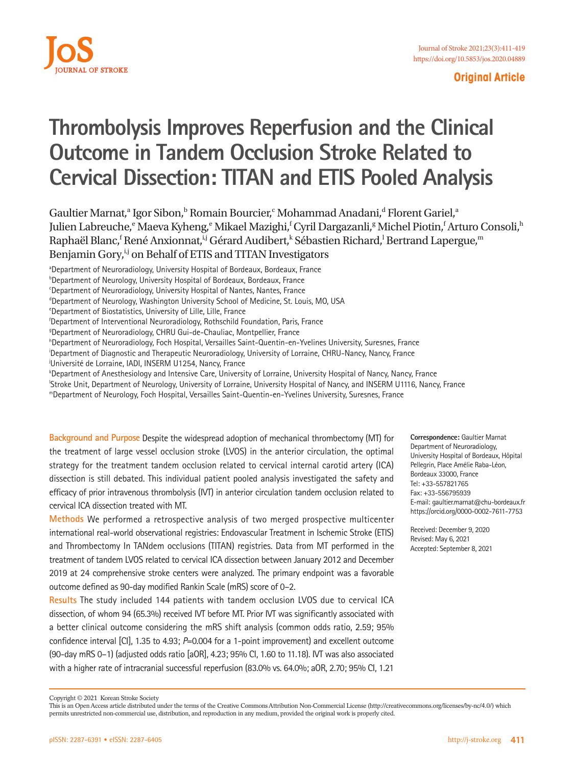

#### **Original Article**

## **Thrombolysis Improves Reperfusion and the Clinical Outcome in Tandem Occlusion Stroke Related to Cervical Dissection: TITAN and ETIS Pooled Analysis**

Gaultier Marnat,<sup>a</sup> Igor Sibon,<sup>b</sup> Romain Bourcier,<sup>c</sup> Mohammad Anadani,<sup>d</sup> Florent Gariel,<sup>a</sup> Julien Labreuche,<sup>e</sup> Maeva Kyheng,<sup>e</sup> Mikael Mazighi,<sup>f</sup> Cyril Dargazanli,<sup>g</sup> Michel Piotin,<sup>f</sup> Arturo Consoli,<sup>h</sup> Raphaël Blanc,<sup>f</sup> René Anxionnat,<sup>i,j</sup> Gérard Audibert,<sup>k</sup> Sébastien Richard,<sup>l</sup> Bertrand Lapergue,<sup>m</sup> Benjamin Gory,<sup>i,j</sup> on Behalf of ETIS and TITAN Investigators

aDepartment of Neuroradiology, University Hospital of Bordeaux, Bordeaux, France

<sup>c</sup>Department of Neuroradiology, University Hospital of Nantes, Nantes, France

<sup>d</sup>Department of Neurology, Washington University School of Medicine, St. Louis, MO, USA

f Department of Interventional Neuroradiology, Rothschild Foundation, Paris, France g

Department of Neuroradiology, CHRU Gui-de-Chauliac, Montpellier, France

h Department of Neuroradiology, Foch Hospital, Versailles Saint-Quentin-en-Yvelines University, Suresnes, France

i Department of Diagnostic and Therapeutic Neuroradiology, University of Lorraine, CHRU-Nancy, Nancy, France

j Université de Lorraine, IADI, INSERM U1254, Nancy, France

k Department of Anesthesiology and Intensive Care, University of Lorraine, University Hospital of Nancy, Nancy, France

l Stroke Unit, Department of Neurology, University of Lorraine, University Hospital of Nancy, and INSERM U1116, Nancy, France

mDepartment of Neurology, Foch Hospital, Versailles Saint-Quentin-en-Yvelines University, Suresnes, France

**Background and Purpose** Despite the widespread adoption of mechanical thrombectomy (MT) for the treatment of large vessel occlusion stroke (LVOS) in the anterior circulation, the optimal strategy for the treatment tandem occlusion related to cervical internal carotid artery (ICA) dissection is still debated. This individual patient pooled analysis investigated the safety and efficacy of prior intravenous thrombolysis (IVT) in anterior circulation tandem occlusion related to cervical ICA dissection treated with MT.

**Methods** We performed a retrospective analysis of two merged prospective multicenter international real-world observational registries: Endovascular Treatment in Ischemic Stroke (ETIS) and Thrombectomy In TANdem occlusions (TITAN) registries. Data from MT performed in the treatment of tandem LVOS related to cervical ICA dissection between January 2012 and December 2019 at 24 comprehensive stroke centers were analyzed. The primary endpoint was a favorable outcome defined as 90-day modified Rankin Scale (mRS) score of 0–2.

**Results** The study included 144 patients with tandem occlusion LVOS due to cervical ICA dissection, of whom 94 (65.3%) received IVT before MT. Prior IVT was significantly associated with a better clinical outcome considering the mRS shift analysis (common odds ratio, 2.59; 95% confidence interval [CI], 1.35 to 4.93; *P*=0.004 for a 1-point improvement) and excellent outcome (90-day mRS 0–1) (adjusted odds ratio [aOR], 4.23; 95% CI, 1.60 to 11.18). IVT was also associated with a higher rate of intracranial successful reperfusion (83.0% vs. 64.0%; aOR, 2.70; 95% CI, 1.21

**Correspondence:** Gaultier Marnat Department of Neuroradiology, University Hospital of Bordeaux, Hôpital Pellegrin, Place Amélie Raba-Léon, Bordeaux 33000, France Tel: +33-557821765 Fax: +33-556795939 E-mail: [gaultier.marnat@chu-bordeaux.fr](mailto:gaultier.marnat@chu-bordeaux.fr) https://orcid.org/0000-0002-7611-7753

Received: December 9, 2020 Revised: May 6, 2021 Accepted: September 8, 2021

<sup>&</sup>lt;sup>b</sup>Department of Neurology, University Hospital of Bordeaux, Bordeaux, France

<sup>&</sup>lt;sup>e</sup>Department of Biostatistics, University of Lille, Lille, France

Copyright © 2021 Korean Stroke Society

This is an Open Access article distributed under the terms of the Creative Commons Attribution Non-Commercial License (http://creativecommons.org/licenses/by-nc/4.0/) which permits unrestricted non-commercial use, distribution, and reproduction in any medium, provided the original work is properly cited.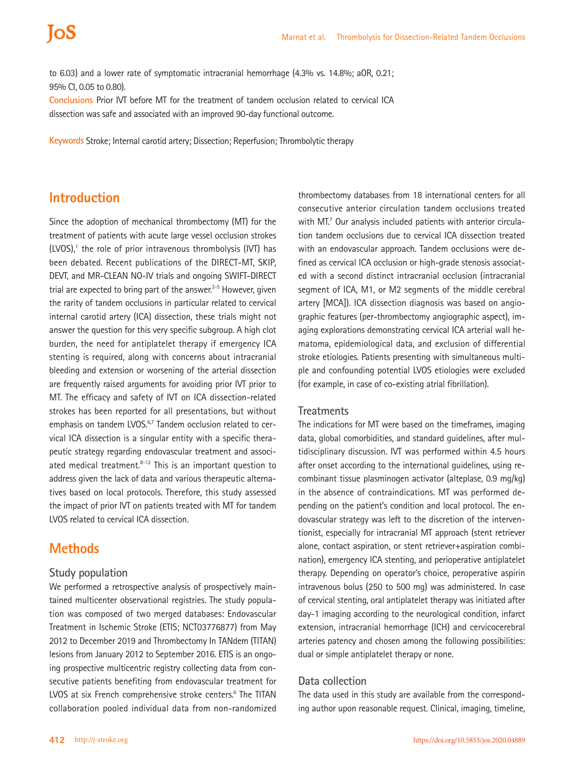to 6.03) and a lower rate of symptomatic intracranial hemorrhage (4.3% vs. 14.8%; aOR, 0.21; 95% CI, 0.05 to 0.80).

**Conclusions** Prior IVT before MT for the treatment of tandem occlusion related to cervical ICA dissection was safe and associated with an improved 90-day functional outcome.

**Keywords** Stroke; Internal carotid artery; Dissection; Reperfusion; Thrombolytic therapy

## **Introduction**

Since the adoption of mechanical thrombectomy (MT) for the treatment of patients with acute large vessel occlusion strokes (LVOS),<sup>1</sup> the role of prior intravenous thrombolysis (IVT) has been debated. Recent publications of the DIRECT-MT, SKIP, DEVT, and MR-CLEAN NO-IV trials and ongoing SWIFT-DIRECT trial are expected to bring part of the answer. $2-5$  However, given the rarity of tandem occlusions in particular related to cervical internal carotid artery (ICA) dissection, these trials might not answer the question for this very specific subgroup. A high clot burden, the need for antiplatelet therapy if emergency ICA stenting is required, along with concerns about intracranial bleeding and extension or worsening of the arterial dissection are frequently raised arguments for avoiding prior IVT prior to MT. The efficacy and safety of IVT on ICA dissection-related strokes has been reported for all presentations, but without emphasis on tandem LVOS.<sup>6,7</sup> Tandem occlusion related to cervical ICA dissection is a singular entity with a specific therapeutic strategy regarding endovascular treatment and associated medical treatment.<sup>8-12</sup> This is an important question to address given the lack of data and various therapeutic alternatives based on local protocols. Therefore, this study assessed the impact of prior IVT on patients treated with MT for tandem LVOS related to cervical ICA dissection.

## **Methods**

#### **Study population**

We performed a retrospective analysis of prospectively maintained multicenter observational registries. The study population was composed of two merged databases: Endovascular Treatment in Ischemic Stroke (ETIS; NCT03776877) from May 2012 to December 2019 and Thrombectomy In TANdem (TITAN) lesions from January 2012 to September 2016. ETIS is an ongoing prospective multicentric registry collecting data from consecutive patients benefiting from endovascular treatment for LVOS at six French comprehensive stroke centers.<sup>6</sup> The TITAN collaboration pooled individual data from non-randomized

thrombectomy databases from 18 international centers for all consecutive anterior circulation tandem occlusions treated with MT.<sup>7</sup> Our analysis included patients with anterior circulation tandem occlusions due to cervical ICA dissection treated with an endovascular approach. Tandem occlusions were defined as cervical ICA occlusion or high-grade stenosis associated with a second distinct intracranial occlusion (intracranial segment of ICA, M1, or M2 segments of the middle cerebral artery [MCA]). ICA dissection diagnosis was based on angiographic features (per-thrombectomy angiographic aspect), imaging explorations demonstrating cervical ICA arterial wall hematoma, epidemiological data, and exclusion of differential stroke etiologies. Patients presenting with simultaneous multiple and confounding potential LVOS etiologies were excluded (for example, in case of co-existing atrial fibrillation).

#### **Treatments**

The indications for MT were based on the timeframes, imaging data, global comorbidities, and standard guidelines, after multidisciplinary discussion. IVT was performed within 4.5 hours after onset according to the international guidelines, using recombinant tissue plasminogen activator (alteplase, 0.9 mg/kg) in the absence of contraindications. MT was performed depending on the patient's condition and local protocol. The endovascular strategy was left to the discretion of the interventionist, especially for intracranial MT approach (stent retriever alone, contact aspiration, or stent retriever+aspiration combination), emergency ICA stenting, and perioperative antiplatelet therapy. Depending on operator's choice, peroperative aspirin intravenous bolus (250 to 500 mg) was administered. In case of cervical stenting, oral antiplatelet therapy was initiated after day-1 imaging according to the neurological condition, infarct extension, intracranial hemorrhage (ICH) and cervicocerebral arteries patency and chosen among the following possibilities: dual or simple antiplatelet therapy or none.

#### **Data collection**

The data used in this study are available from the corresponding author upon reasonable request. Clinical, imaging, timeline,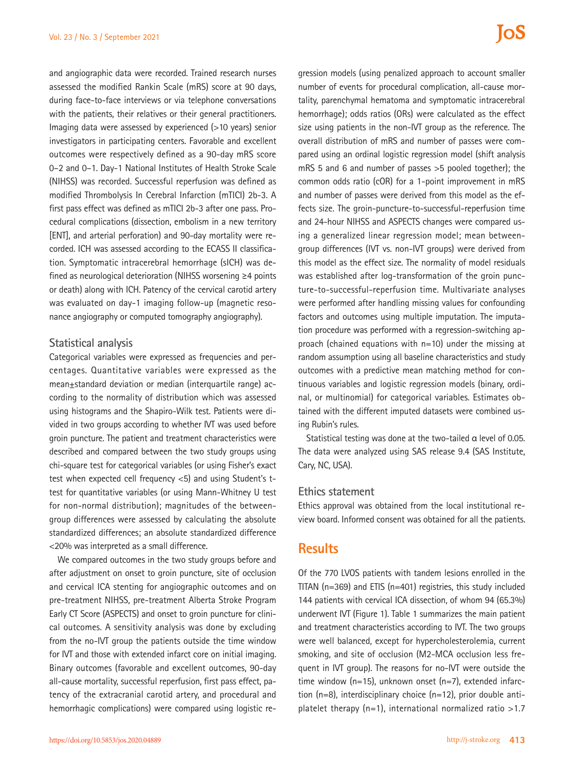and angiographic data were recorded. Trained research nurses assessed the modified Rankin Scale (mRS) score at 90 days, during face-to-face interviews or via telephone conversations with the patients, their relatives or their general practitioners. Imaging data were assessed by experienced (>10 years) senior investigators in participating centers. Favorable and excellent outcomes were respectively defined as a 90-day mRS score 0–2 and 0–1. Day-1 National Institutes of Health Stroke Scale (NIHSS) was recorded. Successful reperfusion was defined as modified Thrombolysis In Cerebral Infarction (mTICI) 2b-3. A first pass effect was defined as mTICI 2b-3 after one pass. Procedural complications (dissection, embolism in a new territory [ENT], and arterial perforation) and 90-day mortality were recorded. ICH was assessed according to the ECASS II classification. Symptomatic intracerebral hemorrhage (sICH) was defined as neurological deterioration (NIHSS worsening ≥4 points or death) along with ICH. Patency of the cervical carotid artery was evaluated on day-1 imaging follow-up (magnetic resonance angiography or computed tomography angiography).

#### **Statistical analysis**

Categorical variables were expressed as frequencies and percentages. Quantitative variables were expressed as the mean±standard deviation or median (interquartile range) according to the normality of distribution which was assessed using histograms and the Shapiro-Wilk test. Patients were divided in two groups according to whether IVT was used before groin puncture. The patient and treatment characteristics were described and compared between the two study groups using chi-square test for categorical variables (or using Fisher's exact test when expected cell frequency <5) and using Student's ttest for quantitative variables (or using Mann-Whitney U test for non-normal distribution); magnitudes of the betweengroup differences were assessed by calculating the absolute standardized differences; an absolute standardized difference <20% was interpreted as a small difference.

We compared outcomes in the two study groups before and after adjustment on onset to groin puncture, site of occlusion and cervical ICA stenting for angiographic outcomes and on pre-treatment NIHSS, pre-treatment Alberta Stroke Program Early CT Score (ASPECTS) and onset to groin puncture for clinical outcomes. A sensitivity analysis was done by excluding from the no-IVT group the patients outside the time window for IVT and those with extended infarct core on initial imaging. Binary outcomes (favorable and excellent outcomes, 90-day all-cause mortality, successful reperfusion, first pass effect, patency of the extracranial carotid artery, and procedural and hemorrhagic complications) were compared using logistic re-

gression models (using penalized approach to account smaller number of events for procedural complication, all-cause mortality, parenchymal hematoma and symptomatic intracerebral hemorrhage); odds ratios (ORs) were calculated as the effect size using patients in the non-IVT group as the reference. The overall distribution of mRS and number of passes were compared using an ordinal logistic regression model (shift analysis mRS 5 and 6 and number of passes >5 pooled together); the common odds ratio (cOR) for a 1-point improvement in mRS and number of passes were derived from this model as the effects size. The groin-puncture-to-successful-reperfusion time and 24-hour NIHSS and ASPECTS changes were compared using a generalized linear regression model; mean betweengroup differences (IVT vs. non-IVT groups) were derived from this model as the effect size. The normality of model residuals was established after log-transformation of the groin puncture-to-successful-reperfusion time. Multivariate analyses were performed after handling missing values for confounding factors and outcomes using multiple imputation. The imputation procedure was performed with a regression-switching approach (chained equations with n=10) under the missing at random assumption using all baseline characteristics and study outcomes with a predictive mean matching method for continuous variables and logistic regression models (binary, ordinal, or multinomial) for categorical variables. Estimates obtained with the different imputed datasets were combined using Rubin's rules.

Statistical testing was done at the two-tailed α level of 0.05. The data were analyzed using SAS release 9.4 (SAS Institute, Cary, NC, USA).

#### **Ethics statement**

Ethics approval was obtained from the local institutional review board. Informed consent was obtained for all the patients.

## **Results**

Of the 770 LVOS patients with tandem lesions enrolled in the TITAN (n=369) and ETIS (n=401) registries, this study included 144 patients with cervical ICA dissection, of whom 94 (65.3%) underwent IVT (Figure 1). Table 1 summarizes the main patient and treatment characteristics according to IVT. The two groups were well balanced, except for hypercholesterolemia, current smoking, and site of occlusion (M2-MCA occlusion less frequent in IVT group). The reasons for no-IVT were outside the time window (n=15), unknown onset (n=7), extended infarction (n=8), interdisciplinary choice (n=12), prior double antiplatelet therapy  $(n=1)$ , international normalized ratio >1.7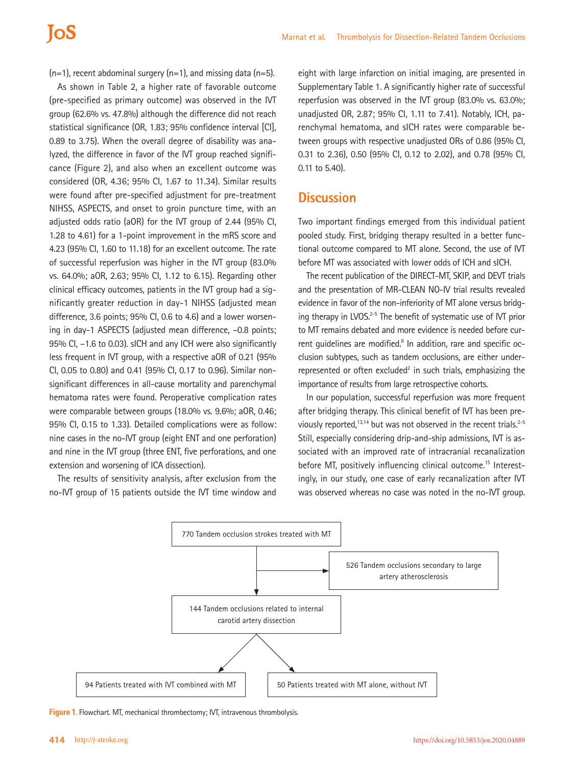$(n=1)$ , recent abdominal surgery  $(n=1)$ , and missing data  $(n=5)$ .

As shown in Table 2, a higher rate of favorable outcome (pre-specified as primary outcome) was observed in the IVT group (62.6% vs. 47.8%) although the difference did not reach statistical significance (OR, 1.83; 95% confidence interval [CI], 0.89 to 3.75). When the overall degree of disability was analyzed, the difference in favor of the IVT group reached significance (Figure 2), and also when an excellent outcome was considered (OR, 4.36; 95% CI, 1.67 to 11.34). Similar results were found after pre-specified adjustment for pre-treatment NIHSS, ASPECTS, and onset to groin puncture time, with an adjusted odds ratio (aOR) for the IVT group of 2.44 (95% CI, 1.28 to 4.61) for a 1-point improvement in the mRS score and 4.23 (95% CI, 1.60 to 11.18) for an excellent outcome. The rate of successful reperfusion was higher in the IVT group (83.0% vs. 64.0%; aOR, 2.63; 95% CI, 1.12 to 6.15). Regarding other clinical efficacy outcomes, patients in the IVT group had a significantly greater reduction in day-1 NIHSS (adjusted mean difference, 3.6 points; 95% CI, 0.6 to 4.6) and a lower worsening in day-1 ASPECTS (adjusted mean difference, –0.8 points; 95% CI, –1.6 to 0.03). sICH and any ICH were also significantly less frequent in IVT group, with a respective aOR of 0.21 (95% CI, 0.05 to 0.80) and 0.41 (95% CI, 0.17 to 0.96). Similar nonsignificant differences in all-cause mortality and parenchymal hematoma rates were found. Peroperative complication rates were comparable between groups (18.0% vs. 9.6%; aOR, 0.46; 95% CI, 0.15 to 1.33). Detailed complications were as follow: nine cases in the no-IVT group (eight ENT and one perforation) and nine in the IVT group (three ENT, five perforations, and one extension and worsening of ICA dissection).

The results of sensitivity analysis, after exclusion from the no-IVT group of 15 patients outside the IVT time window and

eight with large infarction on initial imaging, are presented in Supplementary Table 1. A significantly higher rate of successful reperfusion was observed in the IVT group (83.0% vs. 63.0%; unadjusted OR, 2.87; 95% CI, 1.11 to 7.41). Notably, ICH, parenchymal hematoma, and sICH rates were comparable between groups with respective unadjusted ORs of 0.86 (95% CI, 0.31 to 2.36), 0.50 (95% CI, 0.12 to 2.02), and 0.78 (95% CI, 0.11 to 5.40).

## **Discussion**

Two important findings emerged from this individual patient pooled study. First, bridging therapy resulted in a better functional outcome compared to MT alone. Second, the use of IVT before MT was associated with lower odds of ICH and sICH.

The recent publication of the DIRECT-MT, SKIP, and DEVT trials and the presentation of MR-CLEAN NO-IV trial results revealed evidence in favor of the non-inferiority of MT alone versus bridging therapy in LVOS. $2-5$  The benefit of systematic use of IVT prior to MT remains debated and more evidence is needed before current guidelines are modified.<sup>8</sup> In addition, rare and specific occlusion subtypes, such as tandem occlusions, are either underrepresented or often excluded $2$  in such trials, emphasizing the importance of results from large retrospective cohorts.

In our population, successful reperfusion was more frequent after bridging therapy. This clinical benefit of IVT has been previously reported,<sup>13,14</sup> but was not observed in the recent trials.<sup>2-5</sup> Still, especially considering drip-and-ship admissions, IVT is associated with an improved rate of intracranial recanalization before MT, positively influencing clinical outcome.<sup>15</sup> Interestingly, in our study, one case of early recanalization after IVT was observed whereas no case was noted in the no-IVT group.



**Figure 1.** Flowchart. MT, mechanical thrombectomy; IVT, intravenous thrombolysis.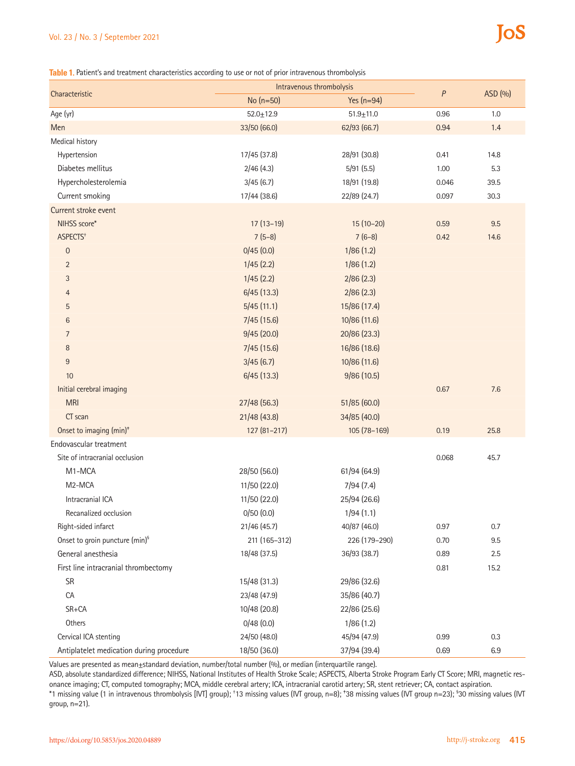#### Vol. 23 / No. 3 / September 2021

# **IoS**

**Table 1.** Patient's and treatment characteristics according to use or not of prior intravenous thrombolysis

| Characteristic                             | Intravenous thrombolysis |               |       |         |
|--------------------------------------------|--------------------------|---------------|-------|---------|
|                                            | No (n=50)                | Yes $(n=94)$  | P     | ASD (%) |
| Age (yr)                                   | $52.0 + 12.9$            | $51.9 + 11.0$ | 0.96  | 1.0     |
| Men                                        | 33/50 (66.0)             | 62/93 (66.7)  | 0.94  | 1.4     |
| Medical history                            |                          |               |       |         |
| Hypertension                               | 17/45 (37.8)             | 28/91 (30.8)  | 0.41  | 14.8    |
| Diabetes mellitus                          | 2/46(4.3)                | 5/91(5.5)     | 1.00  | 5.3     |
| Hypercholesterolemia                       | 3/45(6.7)                | 18/91 (19.8)  | 0.046 | 39.5    |
| Current smoking                            | 17/44 (38.6)             | 22/89 (24.7)  | 0.097 | 30.3    |
| Current stroke event                       |                          |               |       |         |
| NIHSS score*                               | $17(13-19)$              | $15(10-20)$   | 0.59  | 9.5     |
| ASPECTS <sup>+</sup>                       | $7(5-8)$                 | $7(6-8)$      | 0.42  | 14.6    |
| $\boldsymbol{0}$                           | 0/45(0.0)                | 1/86(1.2)     |       |         |
| $\overline{2}$                             | 1/45(2.2)                | 1/86(1.2)     |       |         |
| 3                                          | 1/45(2.2)                | 2/86(2.3)     |       |         |
| 4                                          | 6/45(13.3)               | 2/86(2.3)     |       |         |
| 5                                          | 5/45(11.1)               | 15/86 (17.4)  |       |         |
| 6                                          | 7/45(15.6)               | 10/86 (11.6)  |       |         |
| 7                                          | 9/45(20.0)               | 20/86 (23.3)  |       |         |
| 8                                          | 7/45(15.6)               | 16/86 (18.6)  |       |         |
| 9                                          | 3/45(6.7)                | 10/86 (11.6)  |       |         |
| 10                                         | 6/45(13.3)               | 9/86 (10.5)   |       |         |
| Initial cerebral imaging                   |                          |               | 0.67  | 7.6     |
| <b>MRI</b>                                 | 27/48 (56.3)             | 51/85 (60.0)  |       |         |
| CT scan                                    | 21/48(43.8)              | 34/85 (40.0)  |       |         |
| Onset to imaging (min) <sup>+</sup>        | 127 (81-217)             | 105 (78-169)  | 0.19  | 25.8    |
| Endovascular treatment                     |                          |               |       |         |
| Site of intracranial occlusion             |                          |               | 0.068 | 45.7    |
| M1-MCA                                     | 28/50 (56.0)             | 61/94 (64.9)  |       |         |
| M2-MCA                                     | 11/50 (22.0)             | 7/94(7.4)     |       |         |
| Intracranial ICA                           | 11/50 (22.0)             | 25/94 (26.6)  |       |         |
| Recanalized occlusion                      | 0/50(0.0)                | 1/94(1.1)     |       |         |
| Right-sided infarct                        | 21/46 (45.7)             | 40/87 (46.0)  | 0.97  | 0.7     |
| Onset to groin puncture (min) <sup>§</sup> | 211 (165-312)            | 226 (179-290) | 0.70  | 9.5     |
| General anesthesia                         | 18/48 (37.5)             | 36/93 (38.7)  | 0.89  | 2.5     |
| First line intracranial thrombectomy       |                          |               | 0.81  | 15.2    |
| SR                                         | 15/48 (31.3)             | 29/86 (32.6)  |       |         |
| CA                                         | 23/48 (47.9)             | 35/86 (40.7)  |       |         |
| SR+CA                                      | 10/48 (20.8)             | 22/86 (25.6)  |       |         |
| Others                                     | 0/48(0.0)                | 1/86(1.2)     |       |         |
| Cervical ICA stenting                      | 24/50 (48.0)             | 45/94 (47.9)  | 0.99  | 0.3     |
| Antiplatelet medication during procedure   | 18/50 (36.0)             | 37/94 (39.4)  | 0.69  | 6.9     |

Values are presented as mean±standard deviation, number/total number (%), or median (interquartile range).

ASD, absolute standardized difference; NIHSS, National Institutes of Health Stroke Scale; ASPECTS, Alberta Stroke Program Early CT Score; MRI, magnetic resonance imaging; CT, computed tomography; MCA, middle cerebral artery; ICA, intracranial carotid artery; SR, stent retriever; CA, contact aspiration. \*1 missing value (1 in intravenous thrombolysis [IVT] group); † 13 missing values (IVT group, n=8); ‡ 38 missing values (IVT group n=23); § 30 missing values (IVT

group, n=21).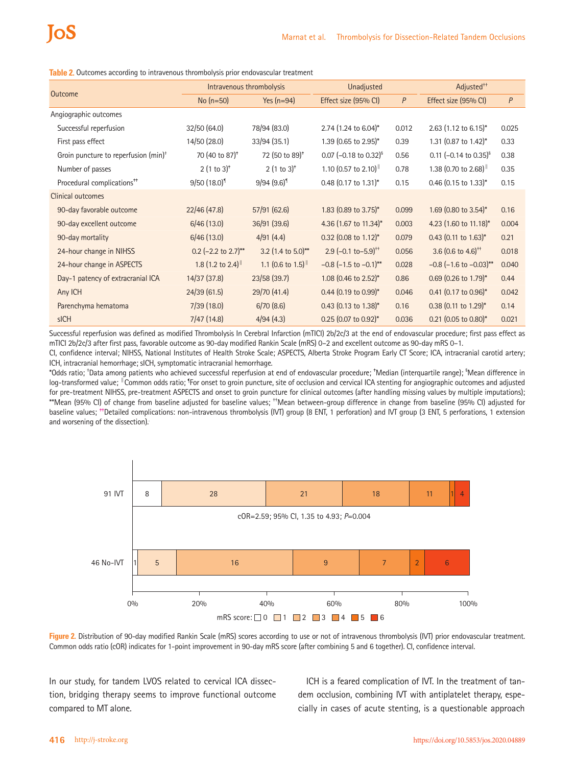**Table 2.** Outcomes according to intravenous thrombolysis prior endovascular treatment

| <b>Outcome</b>                                   | Intravenous thrombolysis        |                                         | Unadjusted                                 |       | Adjusted <sup>++</sup>              |       |
|--------------------------------------------------|---------------------------------|-----------------------------------------|--------------------------------------------|-------|-------------------------------------|-------|
|                                                  | No $(n=50)$                     | Yes $(n=94)$                            | Effect size (95% CI)                       | P     | Effect size (95% CI)                | P     |
| Angiographic outcomes                            |                                 |                                         |                                            |       |                                     |       |
| Successful reperfusion                           | 32/50(64.0)                     | 78/94 (83.0)                            | 2.74 $(1.24 \text{ to } 6.04)^*$           | 0.012 | 2.63 $(1.12 \text{ to } 6.15)^*$    | 0.025 |
| First pass effect                                | 14/50 (28.0)                    | 33/94(35.1)                             | 1.39 $(0.65 \text{ to } 2.95)^*$           | 0.39  | 1.31 $(0.87 \text{ to } 1.42)^*$    | 0.33  |
| Groin puncture to reperfusion (min) <sup>+</sup> | 70 (40 to 87) <sup>*</sup>      | 72 (50 to 89) <sup>*</sup>              | 0.07 $(-0.18 \text{ to } 0.32)^{5}$        | 0.56  | 0.11 $(-0.14 \text{ to } 0.35)^{5}$ | 0.38  |
| Number of passes                                 | $2(1 to 3)^{*}$                 | $2(1 to 3)^{*}$                         | 1.10 $(0.57 \text{ to } 2.10)^{\text{  }}$ | 0.78  | 1.38 (0.70 to 2.68) <sup>  </sup>   | 0.35  |
| Procedural complications <sup>##</sup>           | $9/50(18.0)^9$                  | $9/94(9.6)^{1}$                         | $0.48$ (0.17 to 1.31)*                     | 0.15  | $0.46$ (0.15 to 1.33)*              | 0.15  |
| Clinical outcomes                                |                                 |                                         |                                            |       |                                     |       |
| 90-day favorable outcome                         | 22/46(47.8)                     | 57/91 (62.6)                            | 1.83 $(0.89 \text{ to } 3.75)^*$           | 0.099 | 1.69 (0.80 to 3.54)*                | 0.16  |
| 90-day excellent outcome                         | 6/46(13.0)                      | 36/91 (39.6)                            | 4.36 $(1.67 \text{ to } 11.34)^*$          | 0.003 | 4.23 (1.60 to 11.18)*               | 0.004 |
| 90-day mortality                                 | 6/46(13.0)                      | 4/91(4.4)                               | $0.32$ (0.08 to 1.12)*                     | 0.079 | $0.43$ (0.11 to 1.63)*              | 0.21  |
| 24-hour change in NIHSS                          | 0.2 $(-2.2 \text{ to } 2.7)$ ** | 3.2 $(1.4 \text{ to } 5.0)^{**}$        | 2.9 $(-0.1 \text{ to } -5.9)^{+1}$         | 0.056 | 3.6 $(0.6 \text{ to } 4.6)^{++}$    | 0.018 |
| 24-hour change in ASPECTS                        | 1.8 $(1.2 \text{ to } 2.4)$     | 1.1 $(0.6 \text{ to } 1.5)^{\text{  }}$ | $-0.8$ ( $-1.5$ to $-0.1$ )**              | 0.028 | $-0.8$ (-1.6 to $-0.03$ )**         | 0.040 |
| Day-1 patency of extracranial ICA                | 14/37(37.8)                     | 23/58(39.7)                             | 1.08 $(0.46 \text{ to } 2.52)^*$           | 0.86  | $0.69$ (0.26 to 1.79)*              | 0.44  |
| Any ICH                                          | 24/39(61.5)                     | 29/70 (41.4)                            | $0.44$ (0.19 to 0.99)*                     | 0.046 | $0.41$ (0.17 to 0.96)*              | 0.042 |
| Parenchyma hematoma                              | 7/39(18.0)                      | 6/70(8.6)                               | $0.43$ (0.13 to 1.38)*                     | 0.16  | $0.38$ (0.11 to 1.29)*              | 0.14  |
| sICH                                             | 7/47(14.8)                      | 4/94(4.3)                               | $0.25$ (0.07 to 0.92)*                     | 0.036 | $0.21$ (0.05 to 0.80)*              | 0.021 |

Successful reperfusion was defined as modified Thrombolysis In Cerebral Infarction (mTICI) 2b/2c/3 at the end of endovascular procedure; first pass effect as mTICI 2b/2c/3 after first pass, favorable outcome as 90-day modified Rankin Scale (mRS) 0–2 and excellent outcome as 90-day mRS 0–1.

CI, confidence interval; NIHSS, National Institutes of Health Stroke Scale; ASPECTS, Alberta Stroke Program Early CT Score; ICA, intracranial carotid artery; ICH, intracranial hemorrhage; sICH, symptomatic intracranial hemorrhage.

\*Odds ratio; † Data among patients who achieved successful reperfusion at end of endovascular procedure; ‡ Median (interquartile range); § Mean difference in log-transformed value; <sup>∥</sup>Common odds ratio; <sup>¶</sup>For onset to groin puncture, site of occlusion and cervical ICA stenting for angiographic outcomes and adjusted for pre-treatment NIHSS, pre-treatment ASPECTS and onset to groin puncture for clinical outcomes (after handling missing values by multiple imputations); \*\*Mean (95% CI) of change from baseline adjusted for baseline values; ††Mean between-group difference in change from baseline (95% CI) adjusted for baseline values; <sup>#+</sup>Detailed complications: non-intravenous thrombolysis (IVT) group (8 ENT, 1 perforation) and IVT group (3 ENT, 5 perforations, 1 extension and worsening of the dissection)..



**Figure 2.** Distribution of 90-day modified Rankin Scale (mRS) scores according to use or not of intravenous thrombolysis (IVT) prior endovascular treatment. Common odds ratio (cOR) indicates for 1-point improvement in 90-day mRS score (after combining 5 and 6 together). CI, confidence interval.

In our study, for tandem LVOS related to cervical ICA dissection, bridging therapy seems to improve functional outcome compared to MT alone.

ICH is a feared complication of IVT. In the treatment of tandem occlusion, combining IVT with antiplatelet therapy, especially in cases of acute stenting, is a questionable approach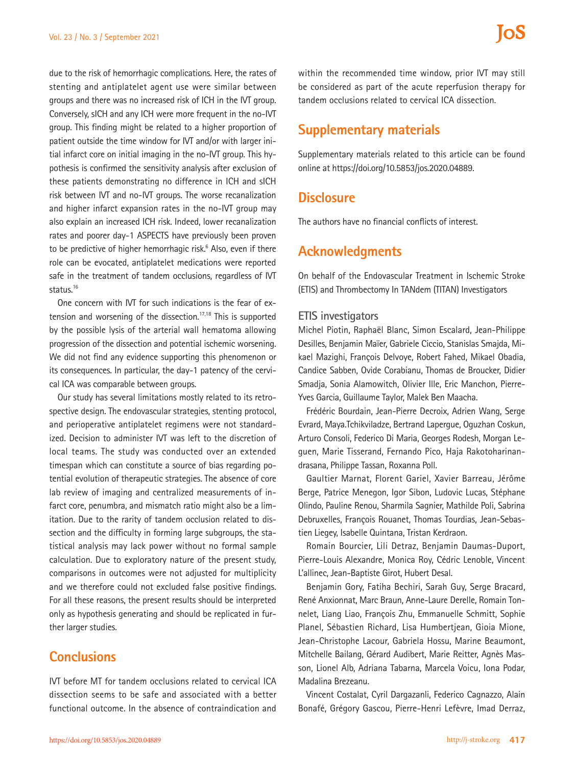due to the risk of hemorrhagic complications. Here, the rates of stenting and antiplatelet agent use were similar between groups and there was no increased risk of ICH in the IVT group. Conversely, sICH and any ICH were more frequent in the no-IVT group. This finding might be related to a higher proportion of patient outside the time window for IVT and/or with larger initial infarct core on initial imaging in the no-IVT group. This hypothesis is confirmed the sensitivity analysis after exclusion of these patients demonstrating no difference in ICH and sICH risk between IVT and no-IVT groups. The worse recanalization and higher infarct expansion rates in the no-IVT group may also explain an increased ICH risk. Indeed, lower recanalization rates and poorer day-1 ASPECTS have previously been proven to be predictive of higher hemorrhagic risk.<sup>6</sup> Also, even if there role can be evocated, antiplatelet medications were reported safe in the treatment of tandem occlusions, regardless of IVT status.16

One concern with IVT for such indications is the fear of extension and worsening of the dissection.<sup>17,18</sup> This is supported by the possible lysis of the arterial wall hematoma allowing progression of the dissection and potential ischemic worsening. We did not find any evidence supporting this phenomenon or its consequences. In particular, the day-1 patency of the cervical ICA was comparable between groups.

Our study has several limitations mostly related to its retrospective design. The endovascular strategies, stenting protocol, and perioperative antiplatelet regimens were not standardized. Decision to administer IVT was left to the discretion of local teams. The study was conducted over an extended timespan which can constitute a source of bias regarding potential evolution of therapeutic strategies. The absence of core lab review of imaging and centralized measurements of infarct core, penumbra, and mismatch ratio might also be a limitation. Due to the rarity of tandem occlusion related to dissection and the difficulty in forming large subgroups, the statistical analysis may lack power without no formal sample calculation. Due to exploratory nature of the present study, comparisons in outcomes were not adjusted for multiplicity and we therefore could not excluded false positive findings. For all these reasons, the present results should be interpreted only as hypothesis generating and should be replicated in further larger studies.

## **Conclusions**

IVT before MT for tandem occlusions related to cervical ICA dissection seems to be safe and associated with a better functional outcome. In the absence of contraindication and

within the recommended time window, prior IVT may still be considered as part of the acute reperfusion therapy for tandem occlusions related to cervical ICA dissection.

## **Supplementary materials**

Supplementary materials related to this article can be found online at https://doi.org/10.5853/jos.2020.04889.

## **Disclosure**

The authors have no financial conflicts of interest.

## **Acknowledgments**

On behalf of the Endovascular Treatment in Ischemic Stroke (ETIS) and Thrombectomy In TANdem (TITAN) Investigators

#### **ETIS investigators**

Michel Piotin, Raphaël Blanc, Simon Escalard, Jean-Philippe Desilles, Benjamin Maïer, Gabriele Ciccio, Stanislas Smajda, Mikael Mazighi, François Delvoye, Robert Fahed, Mikael Obadia, Candice Sabben, Ovide Corabianu, Thomas de Broucker, Didier Smadja, Sonia Alamowitch, Olivier Ille, Eric Manchon, Pierre-Yves Garcia, Guillaume Taylor, Malek Ben Maacha.

Frédéric Bourdain, Jean-Pierre Decroix, Adrien Wang, Serge Evrard, Maya.Tchikviladze, Bertrand Lapergue, Oguzhan Coskun, Arturo Consoli, Federico Di Maria, Georges Rodesh, Morgan Leguen, Marie Tisserand, Fernando Pico, Haja Rakotoharinandrasana, Philippe Tassan, Roxanna Poll.

Gaultier Marnat, Florent Gariel, Xavier Barreau, Jérôme Berge, Patrice Menegon, Igor Sibon, Ludovic Lucas, Stéphane Olindo, Pauline Renou, Sharmila Sagnier, Mathilde Poli, Sabrina Debruxelles, François Rouanet, Thomas Tourdias, Jean-Sebastien Liegey, Isabelle Quintana, Tristan Kerdraon.

Romain Bourcier, Lili Detraz, Benjamin Daumas-Duport, Pierre-Louis Alexandre, Monica Roy, Cédric Lenoble, Vincent L'allinec, Jean-Baptiste Girot, Hubert Desal.

Benjamin Gory, Fatiha Bechiri, Sarah Guy, Serge Bracard, René Anxionnat, Marc Braun, Anne-Laure Derelle, Romain Tonnelet, Liang Liao, François Zhu, Emmanuelle Schmitt, Sophie Planel, Sébastien Richard, Lisa Humbertjean, Gioia Mione, Jean-Christophe Lacour, Gabriela Hossu, Marine Beaumont, Mitchelle Bailang, Gérard Audibert, Marie Reitter, Agnès Masson, Lionel Alb, Adriana Tabarna, Marcela Voicu, Iona Podar, Madalina Brezeanu.

Vincent Costalat, Cyril Dargazanli, Federico Cagnazzo, Alain Bonafé, Grégory Gascou, Pierre-Henri Lefèvre, Imad Derraz,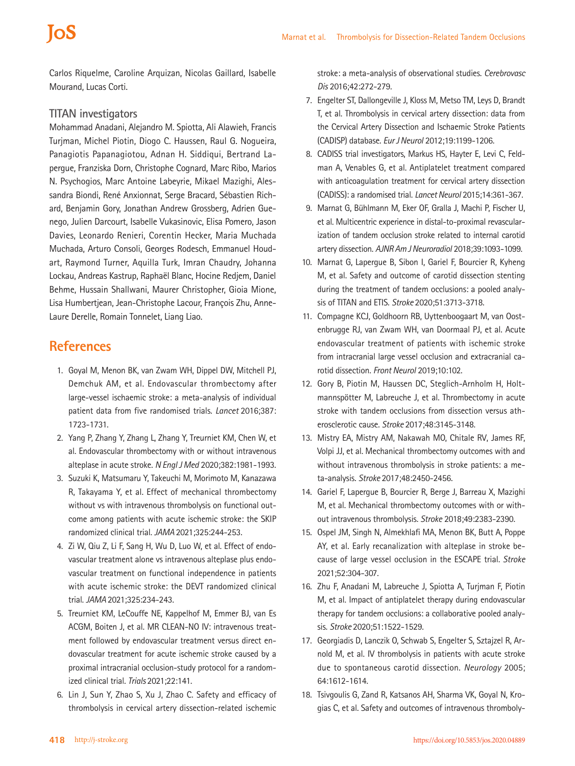Carlos Riquelme, Caroline Arquizan, Nicolas Gaillard, Isabelle Mourand, Lucas Corti.

#### **TITAN investigators**

Mohammad Anadani, Alejandro M. Spiotta, Ali Alawieh, Francis Turjman, Michel Piotin, Diogo C. Haussen, Raul G. Nogueira, Panagiotis Papanagiotou, Adnan H. Siddiqui, Bertrand Lapergue, Franziska Dorn, Christophe Cognard, Marc Ribo, Marios N. Psychogios, Marc Antoine Labeyrie, Mikael Mazighi, Alessandra Biondi, René Anxionnat, Serge Bracard, Sébastien Richard, Benjamin Gory, Jonathan Andrew Grossberg, Adrien Guenego, Julien Darcourt, Isabelle Vukasinovic, Elisa Pomero, Jason Davies, Leonardo Renieri, Corentin Hecker, Maria Muchada Muchada, Arturo Consoli, Georges Rodesch, Emmanuel Houdart, Raymond Turner, Aquilla Turk, Imran Chaudry, Johanna Lockau, Andreas Kastrup, Raphaël Blanc, Hocine Redjem, Daniel Behme, Hussain Shallwani, Maurer Christopher, Gioia Mione, Lisa Humbertjean, Jean-Christophe Lacour, François Zhu, Anne-Laure Derelle, Romain Tonnelet, Liang Liao.

## **References**

- 1. Goyal M, Menon BK, van Zwam WH, Dippel DW, Mitchell PJ, Demchuk AM, et al. Endovascular thrombectomy after large-vessel ischaemic stroke: a meta-analysis of individual patient data from five randomised trials. *Lancet* 2016;387: 1723-1731.
- 2. Yang P, Zhang Y, Zhang L, Zhang Y, Treurniet KM, Chen W, et al. Endovascular thrombectomy with or without intravenous alteplase in acute stroke. *N Engl J Med* 2020;382:1981-1993.
- 3. Suzuki K, Matsumaru Y, Takeuchi M, Morimoto M, Kanazawa R, Takayama Y, et al. Effect of mechanical thrombectomy without vs with intravenous thrombolysis on functional outcome among patients with acute ischemic stroke: the SKIP randomized clinical trial. *JAMA* 2021;325:244-253.
- 4. Zi W, Qiu Z, Li F, Sang H, Wu D, Luo W, et al. Effect of endovascular treatment alone vs intravenous alteplase plus endovascular treatment on functional independence in patients with acute ischemic stroke: the DEVT randomized clinical trial. *JAMA* 2021;325:234-243.
- 5. Treurniet KM, LeCouffe NE, Kappelhof M, Emmer BJ, van Es ACGM, Boiten J, et al. MR CLEAN-NO IV: intravenous treatment followed by endovascular treatment versus direct endovascular treatment for acute ischemic stroke caused by a proximal intracranial occlusion-study protocol for a randomized clinical trial. *Trials* 2021;22:141.
- 6. Lin J, Sun Y, Zhao S, Xu J, Zhao C. Safety and efficacy of thrombolysis in cervical artery dissection-related ischemic

stroke: a meta-analysis of observational studies. *Cerebrovasc Dis* 2016;42:272-279.

- 7. Engelter ST, Dallongeville J, Kloss M, Metso TM, Leys D, Brandt T, et al. Thrombolysis in cervical artery dissection: data from the Cervical Artery Dissection and Ischaemic Stroke Patients (CADISP) database. *Eur J Neurol* 2012;19:1199-1206.
- 8. CADISS trial investigators, Markus HS, Hayter E, Levi C, Feldman A, Venables G, et al. Antiplatelet treatment compared with anticoagulation treatment for cervical artery dissection (CADISS): a randomised trial. *Lancet Neurol* 2015;14:361-367.
- 9. Marnat G, Bühlmann M, Eker OF, Gralla J, Machi P, Fischer U, et al. Multicentric experience in distal-to-proximal revascularization of tandem occlusion stroke related to internal carotid artery dissection. *AJNR Am J Neuroradiol* 2018;39:1093-1099.
- 10. Marnat G, Lapergue B, Sibon I, Gariel F, Bourcier R, Kyheng M, et al. Safety and outcome of carotid dissection stenting during the treatment of tandem occlusions: a pooled analysis of TITAN and ETIS. *Stroke* 2020;51:3713-3718.
- 11. Compagne KCJ, Goldhoorn RB, Uyttenboogaart M, van Oostenbrugge RJ, van Zwam WH, van Doormaal PJ, et al. Acute endovascular treatment of patients with ischemic stroke from intracranial large vessel occlusion and extracranial carotid dissection. *Front Neurol* 2019;10:102.
- 12. Gory B, Piotin M, Haussen DC, Steglich-Arnholm H, Holtmannspötter M, Labreuche J, et al. Thrombectomy in acute stroke with tandem occlusions from dissection versus atherosclerotic cause. *Stroke* 2017;48:3145-3148.
- 13. Mistry EA, Mistry AM, Nakawah MO, Chitale RV, James RF, Volpi JJ, et al. Mechanical thrombectomy outcomes with and without intravenous thrombolysis in stroke patients: a meta-analysis. *Stroke* 2017;48:2450-2456.
- 14. Gariel F, Lapergue B, Bourcier R, Berge J, Barreau X, Mazighi M, et al. Mechanical thrombectomy outcomes with or without intravenous thrombolysis. *Stroke* 2018;49:2383-2390.
- 15. Ospel JM, Singh N, Almekhlafi MA, Menon BK, Butt A, Poppe AY, et al. Early recanalization with alteplase in stroke because of large vessel occlusion in the ESCAPE trial. *Stroke*  2021;52:304-307.
- 16. Zhu F, Anadani M, Labreuche J, Spiotta A, Turjman F, Piotin M, et al. Impact of antiplatelet therapy during endovascular therapy for tandem occlusions: a collaborative pooled analysis. *Stroke* 2020;51:1522-1529.
- 17. Georgiadis D, Lanczik O, Schwab S, Engelter S, Sztajzel R, Arnold M, et al. IV thrombolysis in patients with acute stroke due to spontaneous carotid dissection. *Neurology* 2005; 64:1612-1614.
- 18. Tsivgoulis G, Zand R, Katsanos AH, Sharma VK, Goyal N, Krogias C, et al. Safety and outcomes of intravenous thromboly-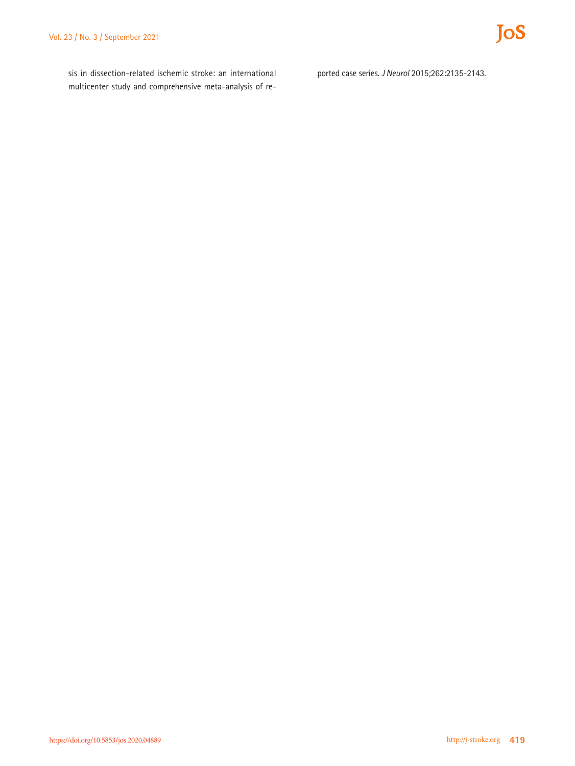JoS